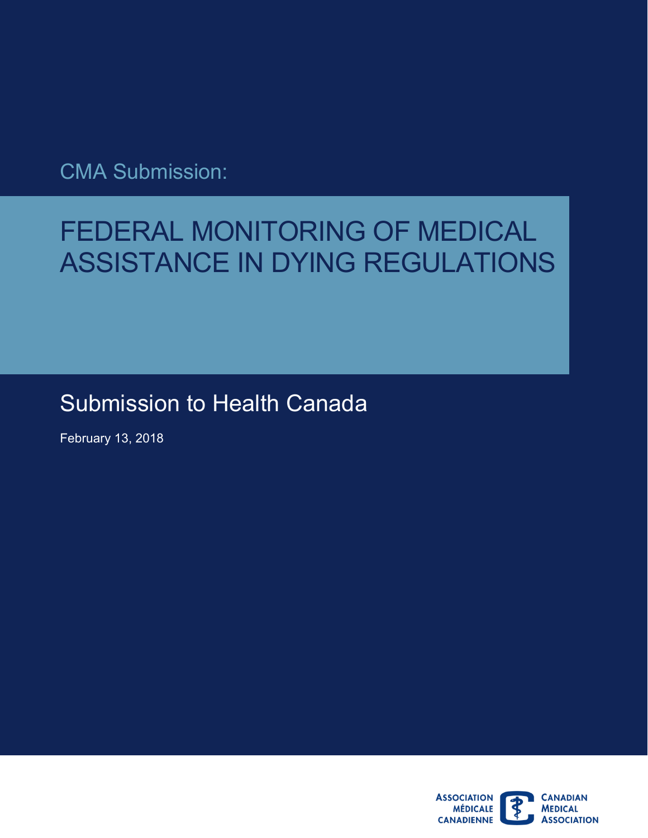CMA Submission:

# FEDERAL MONITORING OF MEDICAL ASSISTANCE IN DYING REGULATIONS

# Submission to Health Canada

February 13, 2018

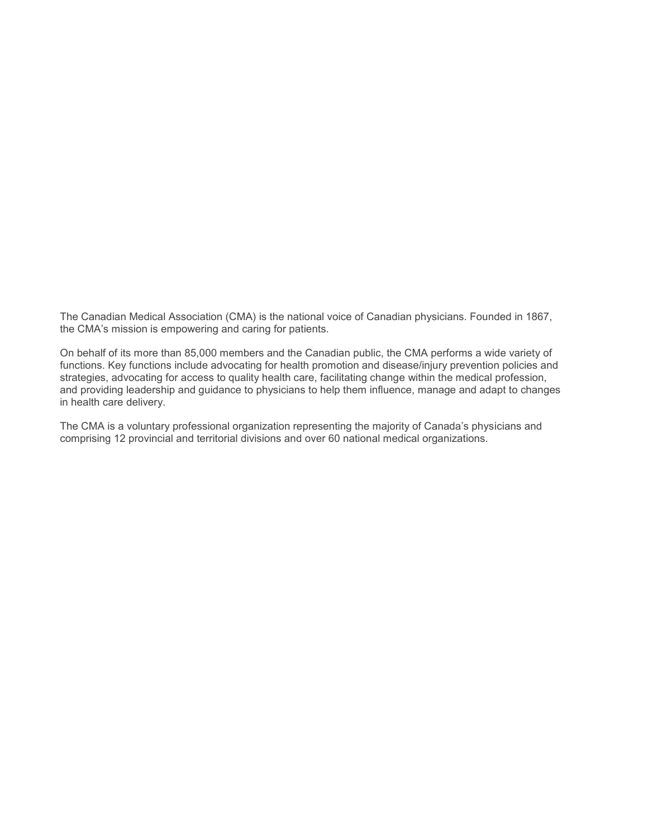The Canadian Medical Association (CMA) is the national voice of Canadian physicians. Founded in 1867, the CMA's mission is empowering and caring for patients.

 On behalf of its more than 85,000 members and the Canadian public, the CMA performs a wide variety of and providing leadership and guidance to physicians to help them influence, manage and adapt to changes<br>in health care delivery. functions. Key functions include advocating for health promotion and disease/injury prevention policies and strategies, advocating for access to quality health care, facilitating change within the medical profession,

The CMA is a voluntary professional organization representing the majority of Canada's physicians and comprising 12 provincial and territorial divisions and over 60 national medical organizations.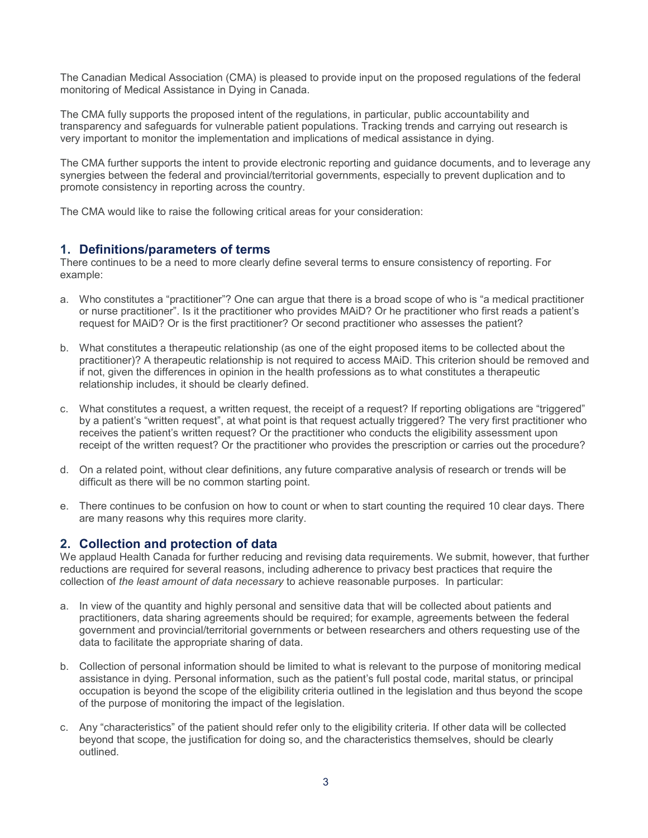monitoring of Medical Assistance in Dying in Canada. The Canadian Medical Association (CMA) is pleased to provide input on the proposed regulations of the federal

 very important to monitor the implementation and implications of medical assistance in dying. The CMA fully supports the proposed intent of the regulations, in particular, public accountability and transparency and safeguards for vulnerable patient populations. Tracking trends and carrying out research is

The CMA further supports the intent to provide electronic reporting and guidance documents, and to leverage any synergies between the federal and provincial/territorial governments, especially to prevent duplication and to promote consistency in reporting across the country.

The CMA would like to raise the following critical areas for your consideration:

#### **1. Definitions/parameters of terms**

 There continues to be a need to more clearly define several terms to ensure consistency of reporting. For example:

- a. Who constitutes a "practitioner"? One can argue that there is a broad scope of who is "a medical practitioner or nurse practitioner". Is it the practitioner who provides MAiD? Or he practitioner who first reads a patient's request for MAiD? Or is the first practitioner? Or second practitioner who assesses the patient?
- practitioner)? A therapeutic relationship is not required to access MAiD. This criterion should be removed and relationship includes, it should be clearly defined. b. What constitutes a therapeutic relationship (as one of the eight proposed items to be collected about the if not, given the differences in opinion in the health professions as to what constitutes a therapeutic
- c. What constitutes a request, a written request, the receipt of a request? If reporting obligations are "triggered" by a patient's "written request", at what point is that request actually triggered? The very first practitioner who receives the patient's written request? Or the practitioner who conducts the eligibility assessment upon receipt of the written request? Or the practitioner who provides the prescription or carries out the procedure?
- d. On a related point, without clear definitions, any future comparative analysis of research or trends will be difficult as there will be no common starting point.
- e. There continues to be confusion on how to count or when to start counting the required 10 clear days. There are many reasons why this requires more clarity.

#### **2. Collection and protection of data**

We applaud Health Canada for further reducing and revising data requirements. We submit, however, that further reductions are required for several reasons, including adherence to privacy best practices that require the collection of *the least amount of data necessary* to achieve reasonable purposes. In particular:

- practitioners, data sharing agreements should be required; for example, agreements between the federal a. In view of the quantity and highly personal and sensitive data that will be collected about patients and government and provincial/territorial governments or between researchers and others requesting use of the data to facilitate the appropriate sharing of data.
- b. Collection of personal information should be limited to what is relevant to the purpose of monitoring medical occupation is beyond the scope of the eligibility criteria outlined in the legislation and thus beyond the scope assistance in dying. Personal information, such as the patient's full postal code, marital status, or principal of the purpose of monitoring the impact of the legislation.
- c. Any "characteristics" of the patient should refer only to the eligibility criteria. If other data will be collected beyond that scope, the justification for doing so, and the characteristics themselves, should be clearly outlined.